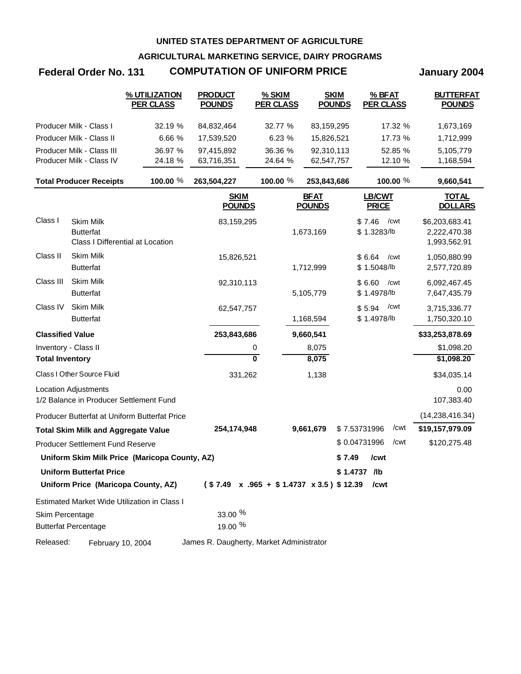**AGRICULTURAL MARKETING SERVICE, DAIRY PROGRAMS**

# **Federal Order No. 131 January 2004 COMPUTATION OF UNIFORM PRICE**

|                         |                                                                          | % UTILIZATION<br><b>PER CLASS</b>             | <b>PRODUCT</b><br><b>POUNDS</b>          | % SKIM<br><b>PER CLASS</b>                         | <b>SKIM</b><br><b>POUNDS</b> | % BFAT<br><b>PER CLASS</b>    | <b>BUTTERFAT</b><br><b>POUNDS</b>              |
|-------------------------|--------------------------------------------------------------------------|-----------------------------------------------|------------------------------------------|----------------------------------------------------|------------------------------|-------------------------------|------------------------------------------------|
|                         | Producer Milk - Class I                                                  | 32.19 %                                       | 84,832,464                               | 32.77 %                                            | 83,159,295                   | 17.32 %                       | 1,673,169                                      |
|                         | Producer Milk - Class II                                                 | 6.66 %                                        | 17,539,520                               | 6.23 %                                             | 15,826,521                   | 17.73 %                       | 1,712,999                                      |
|                         | Producer Milk - Class III                                                | 36.97 %                                       | 97,415,892                               | 36.36 %                                            | 92,310,113                   | 52.85 %                       | 5,105,779                                      |
|                         | Producer Milk - Class IV                                                 | 24.18 %                                       | 63,716,351                               | 24.64 %                                            | 62,547,757                   | 12.10 %                       | 1,168,594                                      |
|                         | <b>Total Producer Receipts</b>                                           | 100.00 %                                      | 263,504,227                              | 100.00 %                                           | 253,843,686                  | 100.00 %                      | 9,660,541                                      |
|                         |                                                                          |                                               | <b>SKIM</b><br><b>POUNDS</b>             |                                                    | <b>BFAT</b><br><b>POUNDS</b> | <b>LB/CWT</b><br><b>PRICE</b> | <b>TOTAL</b><br><b>DOLLARS</b>                 |
| Class I                 | <b>Skim Milk</b><br><b>Butterfat</b><br>Class I Differential at Location |                                               | 83,159,295                               |                                                    | 1,673,169                    | \$7.46<br>/cwt<br>\$1.3283/lb | \$6,203,683.41<br>2,222,470.38<br>1,993,562.91 |
| Class II                | <b>Skim Milk</b><br><b>Butterfat</b>                                     |                                               | 15,826,521                               |                                                    | 1,712,999                    | \$6.64<br>/cwt<br>\$1.5048/lb | 1,050,880.99<br>2,577,720.89                   |
| Class III               | Skim Milk<br><b>Butterfat</b>                                            |                                               | 92,310,113                               |                                                    | 5,105,779                    | \$6.60<br>/cwt<br>\$1.4978/lb | 6,092,467.45<br>7,647,435.79                   |
| Class IV                | Skim Milk<br><b>Butterfat</b>                                            |                                               | 62,547,757                               |                                                    | 1,168,594                    | /cwt<br>\$5.94<br>\$1.4978/lb | 3,715,336.77<br>1,750,320.10                   |
| <b>Classified Value</b> |                                                                          |                                               | 253,843,686                              |                                                    | 9,660,541                    |                               | \$33,253,878.69                                |
|                         | Inventory - Class II                                                     |                                               |                                          | 0                                                  | 8,075                        |                               | \$1,098.20                                     |
| <b>Total Inventory</b>  |                                                                          |                                               |                                          | $\overline{\mathbf{0}}$                            | 8,075                        |                               | \$1,098.20                                     |
|                         | Class I Other Source Fluid                                               |                                               | 331,262                                  |                                                    | 1,138                        |                               | \$34,035.14                                    |
|                         | <b>Location Adjustments</b><br>1/2 Balance in Producer Settlement Fund   |                                               |                                          |                                                    |                              |                               | 0.00<br>107,383.40                             |
|                         |                                                                          | Producer Butterfat at Uniform Butterfat Price |                                          |                                                    |                              |                               | (14, 238, 416.34)                              |
|                         | <b>Total Skim Milk and Aggregate Value</b>                               |                                               | 254,174,948                              |                                                    | 9,661,679                    | /cwt<br>\$7.53731996          | \$19,157,979.09                                |
|                         | Producer Settlement Fund Reserve                                         |                                               |                                          |                                                    |                              | /cwt<br>\$0.04731996          | \$120,275.48                                   |
|                         |                                                                          | Uniform Skim Milk Price (Maricopa County, AZ) |                                          |                                                    |                              | \$7.49<br>/cwt                |                                                |
|                         | <b>Uniform Butterfat Price</b>                                           |                                               |                                          |                                                    |                              | \$1.4737 /lb                  |                                                |
|                         | Uniform Price (Maricopa County, AZ)                                      |                                               |                                          | $($7.49 \times .965 + $1.4737 \times 3.5)$ $12.39$ |                              | /cwt                          |                                                |
|                         |                                                                          | Estimated Market Wide Utilization in Class I  |                                          |                                                    |                              |                               |                                                |
| Skim Percentage         | <b>Butterfat Percentage</b>                                              |                                               | 33.00 %<br>19.00 %                       |                                                    |                              |                               |                                                |
| Released:               | February 10, 2004                                                        |                                               | James R. Daugherty, Market Administrator |                                                    |                              |                               |                                                |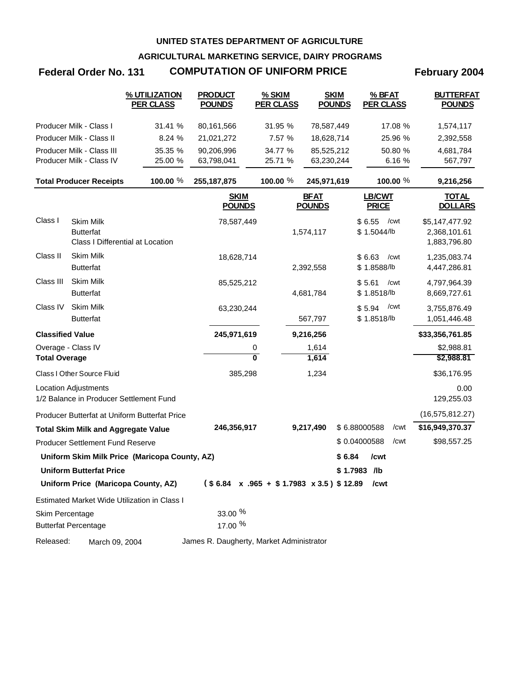**AGRICULTURAL MARKETING SERVICE, DAIRY PROGRAMS**

# Federal Order No. 131 COMPUTATION OF UNIFORM PRICE February 2004

|                         |                                                                          | % UTILIZATION<br><b>PER CLASS</b>             | <b>PRODUCT</b><br><b>POUNDS</b>          | % SKIM<br><b>PER CLASS</b> | <b>SKIM</b><br><b>POUNDS</b>                        | $%$ BFAT<br><b>PER CLASS</b>  | <b>BUTTERFAT</b><br><b>POUNDS</b>              |
|-------------------------|--------------------------------------------------------------------------|-----------------------------------------------|------------------------------------------|----------------------------|-----------------------------------------------------|-------------------------------|------------------------------------------------|
|                         | Producer Milk - Class I                                                  | 31.41 %                                       | 80,161,566                               | 31.95 %                    | 78,587,449                                          | 17.08 %                       | 1,574,117                                      |
|                         | Producer Milk - Class II                                                 | 8.24 %                                        | 21,021,272                               | 7.57 %                     | 18,628,714                                          | 25.96 %                       | 2,392,558                                      |
|                         | Producer Milk - Class III                                                | 35.35 %                                       | 90,206,996                               | 34.77 %                    | 85,525,212                                          | 50.80 %                       | 4,681,784                                      |
|                         | Producer Milk - Class IV                                                 | 25.00 %                                       | 63,798,041                               | 25.71 %                    | 63,230,244                                          | 6.16 %                        | 567,797                                        |
|                         | <b>Total Producer Receipts</b>                                           | 100.00 %                                      | 255, 187, 875                            | 100.00 %                   | 245,971,619                                         | 100.00 %                      | 9,216,256                                      |
|                         |                                                                          |                                               | <b>SKIM</b><br><b>POUNDS</b>             |                            | <u>BFAT</u><br><b>POUNDS</b>                        | LB/CWT<br><b>PRICE</b>        | <u>TOTAL</u><br><b>DOLLARS</b>                 |
| Class I                 | <b>Skim Milk</b><br><b>Butterfat</b><br>Class I Differential at Location |                                               | 78,587,449                               |                            | 1,574,117                                           | \$6.55<br>/cwt<br>\$1.5044/b  | \$5,147,477.92<br>2,368,101.61<br>1,883,796.80 |
| Class II                | Skim Milk<br><b>Butterfat</b>                                            |                                               | 18,628,714                               |                            | 2,392,558                                           | \$6.63<br>/cwt<br>\$1.8588/lb | 1,235,083.74<br>4,447,286.81                   |
| Class III               | Skim Milk<br><b>Butterfat</b>                                            |                                               | 85,525,212                               |                            | 4,681,784                                           | \$5.61<br>/cwt<br>\$1.8518/lb | 4,797,964.39<br>8,669,727.61                   |
| Class IV                | <b>Skim Milk</b><br><b>Butterfat</b>                                     |                                               | 63,230,244                               |                            | 567,797                                             | /cwt<br>\$5.94<br>\$1.8518/lb | 3,755,876.49<br>1,051,446.48                   |
| <b>Classified Value</b> |                                                                          |                                               | 245,971,619                              |                            | 9,216,256                                           |                               | \$33,356,761.85                                |
|                         | Overage - Class IV                                                       |                                               |                                          | 0                          | 1,614                                               |                               | \$2,988.81                                     |
| <b>Total Overage</b>    |                                                                          |                                               |                                          | 0                          | 1,614                                               |                               | \$2,988.81                                     |
|                         | Class I Other Source Fluid                                               |                                               | 385,298                                  |                            | 1,234                                               |                               | \$36,176.95                                    |
|                         | <b>Location Adjustments</b><br>1/2 Balance in Producer Settlement Fund   |                                               |                                          |                            |                                                     |                               | 0.00<br>129,255.03                             |
|                         |                                                                          | Producer Butterfat at Uniform Butterfat Price |                                          |                            |                                                     |                               | (16, 575, 812.27)                              |
|                         | <b>Total Skim Milk and Aggregate Value</b>                               |                                               | 246,356,917                              |                            | 9,217,490                                           | \$6.88000588<br>/cwt          | \$16,949,370.37                                |
|                         | <b>Producer Settlement Fund Reserve</b>                                  |                                               |                                          |                            |                                                     | \$0.04000588<br>/cwt          | \$98,557.25                                    |
|                         |                                                                          | Uniform Skim Milk Price (Maricopa County, AZ) |                                          |                            | \$6.84                                              | /cwt                          |                                                |
|                         | <b>Uniform Butterfat Price</b>                                           |                                               |                                          |                            |                                                     | \$1.7983 /lb                  |                                                |
|                         | Uniform Price (Maricopa County, AZ)                                      |                                               |                                          |                            | $($6.84 \times .965 + $1.7983 \times 3.5)$$ \$12.89 | /cwt                          |                                                |
|                         |                                                                          | Estimated Market Wide Utilization in Class I  |                                          |                            |                                                     |                               |                                                |
| Skim Percentage         |                                                                          |                                               | 33.00 %                                  |                            |                                                     |                               |                                                |
|                         | <b>Butterfat Percentage</b>                                              |                                               | 17.00 %                                  |                            |                                                     |                               |                                                |
| Released:               | March 09, 2004                                                           |                                               | James R. Daugherty, Market Administrator |                            |                                                     |                               |                                                |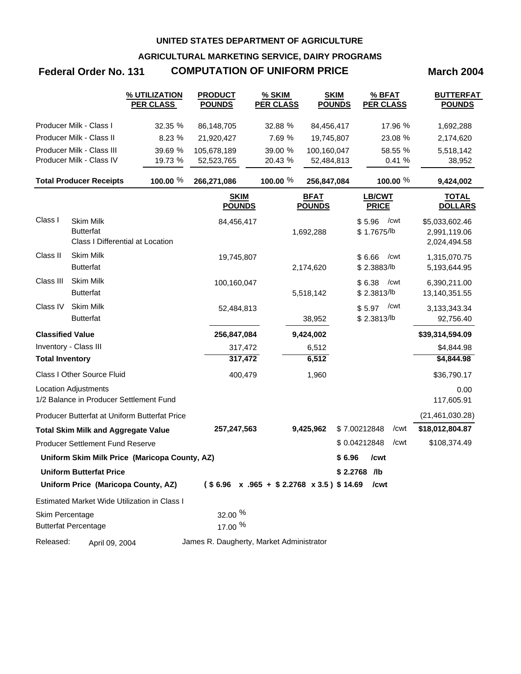**AGRICULTURAL MARKETING SERVICE, DAIRY PROGRAMS**

# **Federal Order No. 131 COMPUTATION OF UNIFORM PRICE March 2004**

|                         |                                                                          | % UTILIZATION<br><b>PER CLASS</b>             | <b>PRODUCT</b><br><b>POUNDS</b>          | $%$ SKIM<br><b>PER CLASS</b>                      | <b>SKIM</b><br><b>POUNDS</b> | % BFAT<br><b>PER CLASS</b>    | <b>BUTTERFAT</b><br><b>POUNDS</b>              |
|-------------------------|--------------------------------------------------------------------------|-----------------------------------------------|------------------------------------------|---------------------------------------------------|------------------------------|-------------------------------|------------------------------------------------|
|                         | Producer Milk - Class I                                                  | 32.35 %                                       | 86,148,705                               | 32.88 %                                           | 84,456,417                   | 17.96 %                       | 1,692,288                                      |
|                         | Producer Milk - Class II                                                 | 8.23 %                                        | 21,920,427                               | 7.69 %                                            | 19,745,807                   | 23.08 %                       | 2,174,620                                      |
|                         | Producer Milk - Class III                                                | 39.69 %                                       | 105,678,189                              | 39.00 %                                           | 100,160,047                  | 58.55 %                       | 5,518,142                                      |
|                         | Producer Milk - Class IV                                                 | 19.73 %                                       | 52,523,765                               | 20.43 %                                           | 52,484,813                   | 0.41 %                        | 38,952                                         |
|                         | <b>Total Producer Receipts</b>                                           | 100.00 %                                      | 266,271,086                              | 100.00 %                                          | 256,847,084                  | 100.00 %                      | 9,424,002                                      |
|                         |                                                                          |                                               | <b>SKIM</b><br><b>POUNDS</b>             |                                                   | <b>BFAT</b><br><b>POUNDS</b> | <b>LB/CWT</b><br><b>PRICE</b> | <b>TOTAL</b><br><b>DOLLARS</b>                 |
| Class I                 | <b>Skim Milk</b><br><b>Butterfat</b><br>Class I Differential at Location |                                               | 84,456,417                               |                                                   | 1,692,288                    | \$5.96<br>/cwt<br>\$1.7675/lb | \$5,033,602.46<br>2,991,119.06<br>2,024,494.58 |
| Class II                | <b>Skim Milk</b><br><b>Butterfat</b>                                     |                                               | 19,745,807                               |                                                   | 2,174,620                    | \$6.66<br>/cwt<br>\$2.3883/lb | 1,315,070.75<br>5,193,644.95                   |
| Class III               | <b>Skim Milk</b><br><b>Butterfat</b>                                     |                                               | 100,160,047                              |                                                   | 5,518,142                    | \$6.38<br>/cwt<br>\$2.3813/lb | 6,390,211.00<br>13,140,351.55                  |
| Class IV                | Skim Milk<br><b>Butterfat</b>                                            |                                               | 52,484,813                               |                                                   | 38,952                       | /cwt<br>\$5.97<br>\$2.3813/lb | 3,133,343.34<br>92,756.40                      |
| <b>Classified Value</b> |                                                                          |                                               | 256,847,084                              |                                                   | 9,424,002                    |                               | \$39,314,594.09                                |
|                         | Inventory - Class III                                                    |                                               | 317,472                                  |                                                   | 6,512                        |                               | \$4,844.98                                     |
| <b>Total Inventory</b>  |                                                                          |                                               | 317,472                                  |                                                   | 6,512                        |                               | \$4,844.98                                     |
|                         | Class I Other Source Fluid                                               |                                               | 400,479                                  |                                                   | 1,960                        |                               | \$36,790.17                                    |
|                         | <b>Location Adjustments</b><br>1/2 Balance in Producer Settlement Fund   |                                               |                                          |                                                   |                              |                               | 0.00<br>117,605.91                             |
|                         |                                                                          | Producer Butterfat at Uniform Butterfat Price |                                          |                                                   |                              |                               | (21, 461, 030.28)                              |
|                         | <b>Total Skim Milk and Aggregate Value</b>                               |                                               | 257,247,563                              |                                                   | 9,425,962                    | /cwt<br>\$7.00212848          | \$18,012,804.87                                |
|                         | <b>Producer Settlement Fund Reserve</b>                                  |                                               |                                          |                                                   |                              | /cwt<br>\$0.04212848          | \$108,374.49                                   |
|                         |                                                                          | Uniform Skim Milk Price (Maricopa County, AZ) |                                          |                                                   |                              | \$6.96<br>/cwt                |                                                |
|                         | <b>Uniform Butterfat Price</b>                                           |                                               |                                          |                                                   |                              | \$2.2768 /lb                  |                                                |
|                         | Uniform Price (Maricopa County, AZ)                                      |                                               |                                          | $($6.96 \times .965 + $2.2768 \times 3.5) $14.69$ |                              | /cwt                          |                                                |
|                         |                                                                          | Estimated Market Wide Utilization in Class I  |                                          |                                                   |                              |                               |                                                |
| Skim Percentage         | <b>Butterfat Percentage</b>                                              |                                               | 32.00 %<br>17.00 %                       |                                                   |                              |                               |                                                |
| Released:               | April 09, 2004                                                           |                                               | James R. Daugherty, Market Administrator |                                                   |                              |                               |                                                |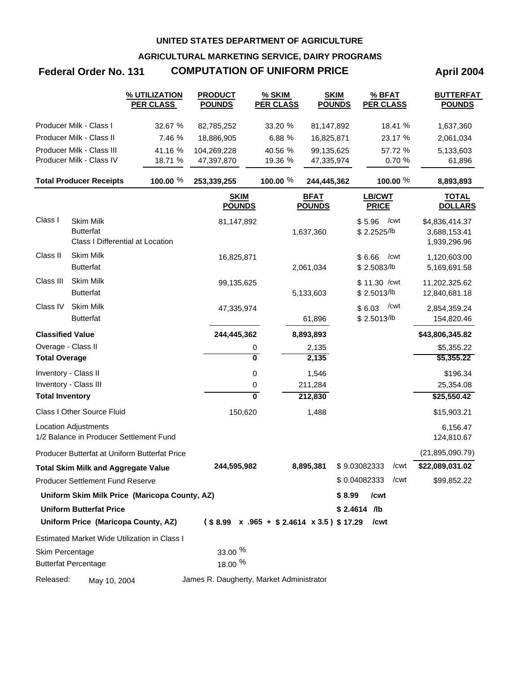**AGRICULTURAL MARKETING SERVICE, DAIRY PROGRAMS**

# **Federal Order No. 131 COMPUTATION OF UNIFORM PRICE April 2004**

|                         |                                                                          | % UTILIZATION<br><b>PER CLASS</b>                   | <b>PRODUCT</b><br><b>POUNDS</b>          | % SKIM<br><b>PER CLASS</b> | <b>SKIM</b><br><b>POUNDS</b> | % BFAT<br><b>PER CLASS</b>                                              | <b>BUTTERFAT</b><br><b>POUNDS</b>              |
|-------------------------|--------------------------------------------------------------------------|-----------------------------------------------------|------------------------------------------|----------------------------|------------------------------|-------------------------------------------------------------------------|------------------------------------------------|
|                         | Producer Milk - Class I                                                  | 32.67 %                                             | 82,785,252                               | 33.20 %                    | 81,147,892                   | 18.41 %                                                                 | 1,637,360                                      |
|                         | Producer Milk - Class II                                                 | 7.46 %                                              | 18,886,905                               | 6.88 %                     | 16,825,871                   | 23.17 %                                                                 | 2,061,034                                      |
|                         | Producer Milk - Class III                                                | 41.16 %                                             | 104,269,228                              | 40.56 %                    | 99,135,625                   | 57.72 %                                                                 | 5,133,603                                      |
|                         | Producer Milk - Class IV                                                 | 18.71 %                                             | 47,397,870                               | 19.36 %                    | 47,335,974                   | 0.70 %                                                                  | 61,896                                         |
|                         | <b>Total Producer Receipts</b>                                           | 100.00 %                                            | 253,339,255                              | 100.00 %                   | 244,445,362                  | 100.00 %                                                                | 8,893,893                                      |
|                         |                                                                          |                                                     | <b>SKIM</b><br><b>POUNDS</b>             |                            | <b>BFAT</b><br><b>POUNDS</b> | <b>LB/CWT</b><br><b>PRICE</b>                                           | <b>TOTAL</b><br><b>DOLLARS</b>                 |
| Class I                 | <b>Skim Milk</b><br><b>Butterfat</b><br>Class I Differential at Location |                                                     | 81,147,892                               |                            | 1,637,360                    | \$5.96<br>/cwt<br>\$2.2525/lb                                           | \$4,836,414.37<br>3,688,153.41<br>1,939,296.96 |
| Class II                | Skim Milk<br><b>Butterfat</b>                                            |                                                     | 16,825,871                               |                            | 2,061,034                    | \$6.66<br>/cwt<br>\$2.5083/lb                                           | 1,120,603.00<br>5,169,691.58                   |
| Class III               | <b>Skim Milk</b><br><b>Butterfat</b>                                     |                                                     | 99,135,625                               |                            | 5,133,603                    | \$11.30 / cwt<br>\$2.5013/lb                                            | 11,202,325.62<br>12,840,681.18                 |
| Class IV                | Skim Milk<br><b>Butterfat</b>                                            |                                                     | 47,335,974                               |                            | 61,896                       | /cwt<br>\$6.03<br>\$2.5013/lb                                           | 2,854,359.24<br>154,820.46                     |
| <b>Classified Value</b> |                                                                          |                                                     | 244,445,362                              |                            | 8,893,893                    |                                                                         | \$43,806,345.82                                |
| Overage - Class II      |                                                                          |                                                     |                                          | 0                          | 2,135                        |                                                                         | \$5,355.22                                     |
| <b>Total Overage</b>    |                                                                          |                                                     |                                          | $\overline{\mathbf{0}}$    | 2,135                        |                                                                         | \$5,355.22                                     |
| Inventory - Class II    |                                                                          |                                                     |                                          | 0                          | 1,546                        |                                                                         | \$196.34                                       |
|                         | Inventory - Class III                                                    |                                                     |                                          | 0                          | 211,284                      |                                                                         | 25,354.08                                      |
| <b>Total Inventory</b>  |                                                                          |                                                     |                                          | $\overline{\mathbf{0}}$    | 212,830                      |                                                                         | \$25,550.42                                    |
|                         | Class I Other Source Fluid                                               |                                                     | 150,620                                  |                            | 1,488                        |                                                                         | \$15,903.21                                    |
|                         | <b>Location Adjustments</b><br>1/2 Balance in Producer Settlement Fund   |                                                     |                                          |                            |                              |                                                                         | 6,156.47<br>124,810.67                         |
|                         |                                                                          | Producer Butterfat at Uniform Butterfat Price       |                                          |                            |                              |                                                                         | (21, 895, 090.79)                              |
|                         | <b>Total Skim Milk and Aggregate Value</b>                               |                                                     | 244,595,982                              |                            | 8,895,381                    | \$9.03082333<br>/cwt                                                    | \$22,089,031.02                                |
|                         | <b>Producer Settlement Fund Reserve</b>                                  |                                                     |                                          |                            |                              | $$0.04082333$ /cwt                                                      | \$99,852.22                                    |
|                         |                                                                          | Uniform Skim Milk Price (Maricopa County, AZ)       |                                          |                            |                              | \$8.99<br>/cwt                                                          |                                                |
|                         | <b>Uniform Butterfat Price</b><br>Uniform Price (Maricopa County, AZ)    |                                                     |                                          |                            |                              | $$2.4614$ /lb<br>$($8.99 \times .965 + $2.4614 \times 3.5) $17.29$ /cwt |                                                |
|                         |                                                                          | <b>Estimated Market Wide Utilization in Class I</b> |                                          |                            |                              |                                                                         |                                                |
| Skim Percentage         |                                                                          |                                                     | 33.00 %                                  |                            |                              |                                                                         |                                                |
|                         | <b>Butterfat Percentage</b>                                              |                                                     | 18.00 %                                  |                            |                              |                                                                         |                                                |
| Released:               | May 10, 2004                                                             |                                                     | James R. Daugherty, Market Administrator |                            |                              |                                                                         |                                                |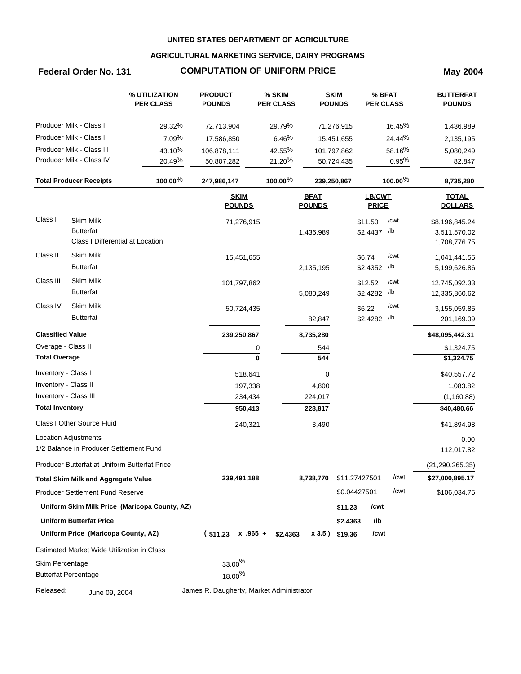### **AGRICULTURAL MARKETING SERVICE, DAIRY PROGRAMS**

# **Federal Order No. 131 COMPUTATION OF UNIFORM PRICE May 2004**

|                         |                                                      | % UTILIZATION<br><b>PER CLASS</b>             | <b>PRODUCT</b><br><b>POUNDS</b>          | % SKIM<br><b>PER CLASS</b> |                              | <b>SKIM</b><br><b>POUNDS</b> | $%$ BFAT<br><b>PER CLASS</b> |                | <b>BUTTERFAT</b><br><b>POUNDS</b> |
|-------------------------|------------------------------------------------------|-----------------------------------------------|------------------------------------------|----------------------------|------------------------------|------------------------------|------------------------------|----------------|-----------------------------------|
|                         | Producer Milk - Class I                              | 29.32%                                        | 72,713,904                               | 29.79%                     |                              | 71,276,915                   |                              | 16.45%         | 1,436,989                         |
|                         | Producer Milk - Class II                             | 7.09%                                         | 17,586,850                               | 6.46%                      |                              | 15,451,655                   |                              | 24.44%         | 2,135,195                         |
|                         | Producer Milk - Class III                            | 43.10%                                        | 106,878,111                              | 42.55%                     | 101,797,862                  |                              |                              | 58.16%         | 5,080,249                         |
|                         | Producer Milk - Class IV                             | 20.49%                                        | 50,807,282                               | 21.20%                     |                              | 50,724,435                   |                              | 0.95%          | 82,847                            |
|                         | <b>Total Producer Receipts</b>                       | 100.00%                                       | 247,986,147                              | $100.00\%$                 | 239,250,867                  |                              |                              | $100.00\%$     | 8,735,280                         |
|                         |                                                      |                                               | <b>SKIM</b><br><b>POUNDS</b>             |                            | <b>BFAT</b><br><b>POUNDS</b> |                              | LB/CWT<br><b>PRICE</b>       |                | <b>TOTAL</b><br><b>DOLLARS</b>    |
| Class I                 | <b>Skim Milk</b>                                     |                                               | 71,276,915                               |                            |                              |                              | \$11.50                      | /cwt           | \$8,196,845.24                    |
|                         | <b>Butterfat</b><br>Class I Differential at Location |                                               |                                          |                            | 1,436,989                    |                              | \$2.4437 /lb                 |                | 3,511,570.02                      |
|                         | <b>Skim Milk</b>                                     |                                               |                                          |                            |                              |                              |                              |                | 1,708,776.75                      |
| Class II                | <b>Butterfat</b>                                     |                                               | 15,451,655                               |                            |                              |                              | \$6.74                       | /cwt<br>$/$ lb | 1,041,441.55                      |
|                         |                                                      |                                               |                                          |                            | 2,135,195                    |                              | \$2.4352                     |                | 5,199,626.86                      |
| Class III               | <b>Skim Milk</b>                                     |                                               | 101,797,862                              |                            |                              |                              | \$12.52                      | /cwt           | 12,745,092.33                     |
|                         | <b>Butterfat</b>                                     |                                               |                                          |                            | 5,080,249                    |                              | \$2.4282                     | $/$ lb         | 12,335,860.62                     |
| Class IV                | <b>Skim Milk</b>                                     |                                               | 50,724,435                               |                            |                              |                              | \$6.22                       | /cwt           | 3,155,059.85                      |
|                         | <b>Butterfat</b>                                     |                                               |                                          |                            | 82,847                       |                              | \$2.4282                     | $/$ lb         | 201,169.09                        |
| <b>Classified Value</b> |                                                      |                                               | 239,250,867                              |                            | 8,735,280                    |                              |                              |                | \$48,095,442.31                   |
| Overage - Class II      |                                                      |                                               |                                          | 0                          | 544                          |                              |                              |                | \$1,324.75                        |
| <b>Total Overage</b>    |                                                      |                                               |                                          | $\mathbf{0}$               | 544                          |                              |                              |                | \$1,324.75                        |
| Inventory - Class I     |                                                      |                                               | 518,641                                  |                            | 0                            |                              |                              |                | \$40,557.72                       |
| Inventory - Class II    |                                                      |                                               | 197,338                                  |                            | 4,800                        |                              |                              |                | 1,083.82                          |
| Inventory - Class III   |                                                      |                                               | 234,434                                  |                            | 224,017                      |                              |                              |                | (1, 160.88)                       |
| <b>Total Inventory</b>  |                                                      |                                               | 950,413                                  |                            | 228,817                      |                              |                              |                | \$40,480.66                       |
|                         | Class I Other Source Fluid                           |                                               | 240,321                                  |                            | 3,490                        |                              |                              |                | \$41,894.98                       |
|                         | Location Adjustments                                 |                                               |                                          |                            |                              |                              |                              |                | 0.00                              |
|                         | 1/2 Balance in Producer Settlement Fund              |                                               |                                          |                            |                              |                              |                              |                | 112,017.82                        |
|                         | Producer Butterfat at Uniform Butterfat Price        |                                               |                                          |                            |                              |                              |                              |                | (21, 290, 265.35)                 |
|                         | <b>Total Skim Milk and Aggregate Value</b>           |                                               | 239,491,188                              |                            | 8,738,770                    | \$11.27427501                |                              | /cwt           | \$27,000,895.17                   |
|                         | <b>Producer Settlement Fund Reserve</b>              |                                               |                                          |                            |                              | \$0.04427501                 |                              | /cwt           | \$106,034.75                      |
|                         |                                                      | Uniform Skim Milk Price (Maricopa County, AZ) |                                          |                            |                              | \$11.23                      | /cwt                         |                |                                   |
|                         | <b>Uniform Butterfat Price</b>                       |                                               |                                          |                            |                              | \$2.4363                     | /lb                          |                |                                   |
|                         | Uniform Price (Maricopa County, AZ)                  |                                               | $($11.23 \times .965 +$                  | \$2.4363                   |                              | x 3.5) \$19.36               | /cwt                         |                |                                   |
|                         | Estimated Market Wide Utilization in Class I         |                                               |                                          |                            |                              |                              |                              |                |                                   |
| Skim Percentage         |                                                      |                                               | $33.00\%$                                |                            |                              |                              |                              |                |                                   |
|                         | <b>Butterfat Percentage</b>                          |                                               | $18.00\%$                                |                            |                              |                              |                              |                |                                   |
| Released:               | June 09, 2004                                        |                                               | James R. Daugherty, Market Administrator |                            |                              |                              |                              |                |                                   |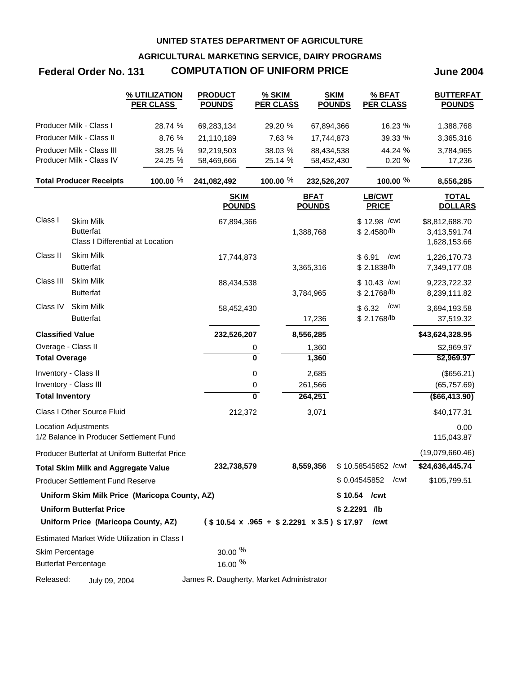**AGRICULTURAL MARKETING SERVICE, DAIRY PROGRAMS**

# **Federal Order No. 131 COMPUTATION OF UNIFORM PRICE June 2004**

|                         |                                                                          | % UTILIZATION<br><b>PER CLASS</b>                   | <b>PRODUCT</b><br><b>POUNDS</b>          | % SKIM<br><b>PER CLASS</b>                              | <b>SKIM</b><br><b>POUNDS</b> | % BFAT<br><b>PER CLASS</b>    | <b>BUTTERFAT</b><br><b>POUNDS</b>              |
|-------------------------|--------------------------------------------------------------------------|-----------------------------------------------------|------------------------------------------|---------------------------------------------------------|------------------------------|-------------------------------|------------------------------------------------|
|                         | Producer Milk - Class I                                                  | 28.74 %                                             | 69,283,134                               | 29.20 %                                                 | 67,894,366                   | 16.23 %                       | 1,388,768                                      |
|                         | Producer Milk - Class II                                                 | 8.76 %                                              | 21,110,189                               | 7.63 %                                                  | 17,744,873                   | 39.33 %                       | 3,365,316                                      |
|                         | Producer Milk - Class III                                                | 38.25 %                                             | 92,219,503                               | 38.03 %                                                 | 88,434,538                   | 44.24 %                       | 3,784,965                                      |
|                         | Producer Milk - Class IV                                                 | 24.25 %                                             | 58,469,666                               | 25.14 %                                                 | 58,452,430                   | 0.20 %                        | 17,236                                         |
|                         | <b>Total Producer Receipts</b>                                           | 100.00 %                                            | 241,082,492                              | 100.00 %                                                | 232,526,207                  | 100.00 $%$                    | 8,556,285                                      |
|                         |                                                                          |                                                     | <b>SKIM</b><br><b>POUNDS</b>             |                                                         | <b>BFAT</b><br><b>POUNDS</b> | LB/CWT<br><b>PRICE</b>        | <b>TOTAL</b><br><b>DOLLARS</b>                 |
| Class I                 | <b>Skim Milk</b><br><b>Butterfat</b><br>Class I Differential at Location |                                                     | 67,894,366                               |                                                         | 1,388,768                    | \$12.98 / cwt<br>\$2.4580/lb  | \$8,812,688.70<br>3,413,591.74<br>1,628,153.66 |
| Class II                | Skim Milk<br><b>Butterfat</b>                                            |                                                     | 17,744,873                               |                                                         | 3,365,316                    | \$6.91<br>/cwt<br>\$2.1838/lb | 1,226,170.73<br>7,349,177.08                   |
| Class III               | Skim Milk<br><b>Butterfat</b>                                            |                                                     | 88,434,538                               |                                                         | 3,784,965                    | \$10.43 / cwt<br>\$2.1768/lb  | 9,223,722.32<br>8,239,111.82                   |
| Class IV                | Skim Milk<br><b>Butterfat</b>                                            |                                                     | 58,452,430                               |                                                         | 17,236                       | /cwt<br>\$6.32<br>\$2.1768/lb | 3,694,193.58<br>37,519.32                      |
| <b>Classified Value</b> |                                                                          |                                                     | 232,526,207                              |                                                         | 8,556,285                    |                               | \$43,624,328.95                                |
| Overage - Class II      |                                                                          |                                                     |                                          | 0                                                       | 1,360                        |                               | \$2,969.97                                     |
| <b>Total Overage</b>    |                                                                          |                                                     |                                          | 0                                                       | 1,360                        |                               | \$2,969.97                                     |
| Inventory - Class II    |                                                                          |                                                     |                                          | 0                                                       | 2,685                        |                               | (\$656.21)                                     |
|                         | Inventory - Class III                                                    |                                                     |                                          | 0                                                       | 261,566                      |                               | (65, 757.69)                                   |
| <b>Total Inventory</b>  |                                                                          |                                                     |                                          | $\overline{\mathbf{0}}$                                 | 264,251                      |                               | ( \$66,413.90)                                 |
|                         | <b>Class I Other Source Fluid</b>                                        |                                                     | 212,372                                  |                                                         | 3,071                        |                               | \$40,177.31                                    |
|                         | <b>Location Adjustments</b><br>1/2 Balance in Producer Settlement Fund   |                                                     |                                          |                                                         |                              |                               | 0.00<br>115,043.87                             |
|                         |                                                                          | Producer Butterfat at Uniform Butterfat Price       |                                          |                                                         |                              |                               | (19,079,660.46)                                |
|                         | <b>Total Skim Milk and Aggregate Value</b>                               |                                                     | 232,738,579                              |                                                         | 8,559,356                    | \$10.58545852 / cwt           | \$24,636,445.74                                |
|                         | <b>Producer Settlement Fund Reserve</b>                                  |                                                     |                                          |                                                         |                              | \$0.04545852 / cwt            | \$105,799.51                                   |
|                         |                                                                          | Uniform Skim Milk Price (Maricopa County, AZ)       |                                          |                                                         |                              | $$10.54$ / cwt                |                                                |
|                         | <b>Uniform Butterfat Price</b>                                           |                                                     |                                          |                                                         |                              | $$2.2291$ /lb                 |                                                |
|                         | Uniform Price (Maricopa County, AZ)                                      |                                                     |                                          | $($10.54 \times .965 + $2.2291 \times 3.5) $17.97$ /cwt |                              |                               |                                                |
|                         |                                                                          | <b>Estimated Market Wide Utilization in Class I</b> |                                          |                                                         |                              |                               |                                                |
| Skim Percentage         | <b>Butterfat Percentage</b>                                              |                                                     | 30.00 %<br>16.00 %                       |                                                         |                              |                               |                                                |
| Released:               | July 09, 2004                                                            |                                                     | James R. Daugherty, Market Administrator |                                                         |                              |                               |                                                |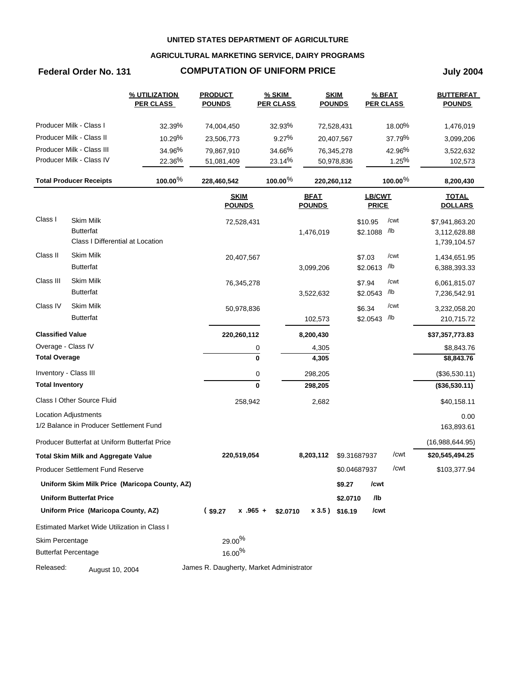### **AGRICULTURAL MARKETING SERVICE, DAIRY PROGRAMS**

# **Federal Order No. 131 COMPUTATION OF UNIFORM PRICE July 2004**

|                             |                                               | % UTILIZATION<br><b>PER CLASS</b>             | <b>PRODUCT</b><br><b>POUNDS</b>          | % SKIM<br><b>PER CLASS</b> |                              | <b>SKIM</b><br><b>POUNDS</b> | % BFAT<br><b>PER CLASS</b>    |         | <b>BUTTERFAT</b><br><b>POUNDS</b> |
|-----------------------------|-----------------------------------------------|-----------------------------------------------|------------------------------------------|----------------------------|------------------------------|------------------------------|-------------------------------|---------|-----------------------------------|
|                             | Producer Milk - Class I                       | 32.39%                                        | 74,004,450                               | 32.93%                     |                              | 72,528,431                   |                               | 18.00%  | 1,476,019                         |
|                             | Producer Milk - Class II                      | 10.29%                                        | 23,506,773                               | 9.27%                      |                              | 20,407,567                   |                               | 37.79%  | 3,099,206                         |
|                             | Producer Milk - Class III                     | 34.96%                                        | 79,867,910                               | 34.66%                     |                              | 76,345,278                   |                               | 42.96%  | 3,522,632                         |
|                             | Producer Milk - Class IV                      | 22.36%                                        | 51,081,409                               | 23.14%                     |                              | 50,978,836                   |                               | 1.25%   | 102,573                           |
|                             | <b>Total Producer Receipts</b>                | $100.00\%$                                    | 228,460,542                              | $100.00\%$                 |                              | 220,260,112                  |                               | 100.00% | 8,200,430                         |
|                             |                                               |                                               | <b>SKIM</b><br><b>POUNDS</b>             |                            | <b>BFAT</b><br><b>POUNDS</b> |                              | <b>LB/CWT</b><br><b>PRICE</b> |         | <b>TOTAL</b><br><b>DOLLARS</b>    |
| Class I                     | Skim Milk                                     |                                               | 72,528,431                               |                            |                              |                              | \$10.95                       | /cwt    | \$7,941,863.20                    |
|                             | <b>Butterfat</b>                              |                                               |                                          |                            | 1,476,019                    |                              | \$2.1088                      | /lb     | 3,112,628.88                      |
|                             | Class I Differential at Location              |                                               |                                          |                            |                              |                              |                               |         | 1,739,104.57                      |
| Class II                    | <b>Skim Milk</b>                              |                                               | 20,407,567                               |                            |                              |                              | \$7.03                        | /cwt    | 1,434,651.95                      |
|                             | <b>Butterfat</b>                              |                                               |                                          |                            | 3,099,206                    |                              | \$2.0613                      | /lb     | 6,388,393.33                      |
| Class III                   | <b>Skim Milk</b>                              |                                               | 76,345,278                               |                            |                              |                              | \$7.94                        | /cwt    | 6,061,815.07                      |
|                             | <b>Butterfat</b>                              |                                               |                                          |                            | 3,522,632                    |                              | \$2.0543                      | /lb     | 7,236,542.91                      |
| Class IV                    | <b>Skim Milk</b>                              |                                               | 50,978,836                               |                            |                              |                              | \$6.34                        | /cwt    | 3,232,058.20                      |
|                             | <b>Butterfat</b>                              |                                               |                                          |                            | 102,573                      |                              | \$2.0543                      | /lb     | 210,715.72                        |
| <b>Classified Value</b>     |                                               |                                               | 220,260,112                              |                            | 8,200,430                    |                              |                               |         | \$37,357,773.83                   |
| Overage - Class IV          |                                               |                                               |                                          | 0                          | 4,305                        |                              |                               |         | \$8,843.76                        |
| <b>Total Overage</b>        |                                               |                                               |                                          | $\mathbf 0$                | 4,305                        |                              |                               |         | \$8,843.76                        |
| Inventory - Class III       |                                               |                                               |                                          | 0                          | 298,205                      |                              |                               |         | (\$36,530.11)                     |
| <b>Total Inventory</b>      |                                               |                                               |                                          | $\mathbf 0$                | 298,205                      |                              |                               |         | (\$36,530.11)                     |
|                             | Class I Other Source Fluid                    |                                               | 258,942                                  |                            | 2,682                        |                              |                               |         | \$40,158.11                       |
|                             | Location Adjustments                          |                                               |                                          |                            |                              |                              |                               |         | 0.00                              |
|                             | 1/2 Balance in Producer Settlement Fund       |                                               |                                          |                            |                              |                              |                               |         | 163,893.61                        |
|                             | Producer Butterfat at Uniform Butterfat Price |                                               |                                          |                            |                              |                              |                               |         | (16,988,644.95)                   |
|                             | <b>Total Skim Milk and Aggregate Value</b>    |                                               | 220,519,054                              |                            | 8,203,112                    |                              | \$9.31687937                  | /cwt    | \$20,545,494.25                   |
|                             | Producer Settlement Fund Reserve              |                                               |                                          |                            |                              |                              | \$0.04687937                  | /cwt    | \$103,377.94                      |
|                             |                                               | Uniform Skim Milk Price (Maricopa County, AZ) |                                          |                            |                              | \$9.27                       | /cwt                          |         |                                   |
|                             | <b>Uniform Butterfat Price</b>                |                                               |                                          |                            |                              | \$2.0710                     | /lb                           |         |                                   |
|                             | Uniform Price (Maricopa County, AZ)           |                                               | (s9.27)                                  | $x.965 + $2.0710$          | $x3.5$ ) \$16.19             |                              | /cwt                          |         |                                   |
|                             | Estimated Market Wide Utilization in Class I  |                                               |                                          |                            |                              |                              |                               |         |                                   |
| Skim Percentage             |                                               |                                               | $29.00\%$                                |                            |                              |                              |                               |         |                                   |
| <b>Butterfat Percentage</b> |                                               |                                               | $16.00\%$                                |                            |                              |                              |                               |         |                                   |
| Released:                   | August 10, 2004                               |                                               | James R. Daugherty, Market Administrator |                            |                              |                              |                               |         |                                   |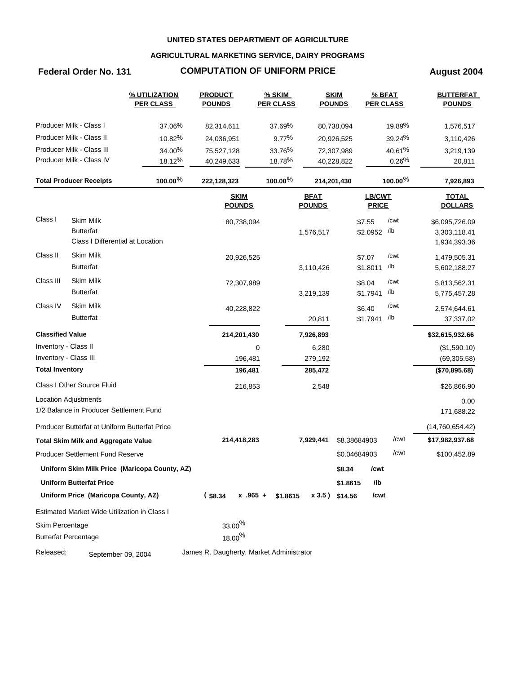### **AGRICULTURAL MARKETING SERVICE, DAIRY PROGRAMS**

# **Federal Order No. 131 COMPUTATION OF UNIFORM PRICE August 2004**

|                         |                                               | % UTILIZATION<br><b>PER CLASS</b>             | <b>PRODUCT</b><br><b>POUNDS</b>          | % SKIM<br><b>PER CLASS</b> |                              | <b>SKIM</b><br><b>POUNDS</b> |                               | % BFAT<br><b>PER CLASS</b> | <b>BUTTERFAT</b><br><b>POUNDS</b> |
|-------------------------|-----------------------------------------------|-----------------------------------------------|------------------------------------------|----------------------------|------------------------------|------------------------------|-------------------------------|----------------------------|-----------------------------------|
|                         | Producer Milk - Class I                       | 37.06%                                        | 82,314,611                               | 37.69%                     |                              | 80,738,094                   |                               | 19.89%                     | 1,576,517                         |
|                         | Producer Milk - Class II                      | 10.82%                                        | 24,036,951                               | 9.77%                      |                              | 20,926,525                   |                               | 39.24%                     | 3,110,426                         |
|                         | Producer Milk - Class III                     | 34.00%                                        | 75,527,128                               | 33.76%                     |                              | 72,307,989                   |                               | 40.61%                     | 3,219,139                         |
|                         | Producer Milk - Class IV                      | 18.12%                                        | 40,249,633                               | 18.78%                     |                              | 40,228,822                   |                               | 0.26%                      | 20,811                            |
|                         | <b>Total Producer Receipts</b>                | $100.00\%$                                    | 222,128,323                              | $100.00\%$                 |                              | 214,201,430                  |                               | 100.00%                    | 7,926,893                         |
|                         |                                               |                                               | <b>SKIM</b><br><b>POUNDS</b>             |                            | <b>BFAT</b><br><b>POUNDS</b> |                              | <b>LB/CWT</b><br><b>PRICE</b> |                            | <b>TOTAL</b><br><b>DOLLARS</b>    |
| Class I                 | <b>Skim Milk</b>                              |                                               | 80,738,094                               |                            |                              |                              | \$7.55                        | /cwt                       | \$6,095,726.09                    |
|                         | <b>Butterfat</b>                              |                                               |                                          |                            | 1,576,517                    |                              | \$2.0952 /lb                  |                            | 3,303,118.41                      |
|                         | Class I Differential at Location              |                                               |                                          |                            |                              |                              |                               |                            | 1,934,393.36                      |
| Class II                | <b>Skim Milk</b>                              |                                               | 20,926,525                               |                            |                              |                              | \$7.07                        | /cwt                       | 1,479,505.31                      |
|                         | <b>Butterfat</b>                              |                                               |                                          |                            | 3,110,426                    |                              | \$1.8011                      | /lb                        | 5,602,188.27                      |
| Class III               | Skim Milk                                     |                                               | 72,307,989                               |                            |                              |                              | \$8.04                        | /cwt                       | 5,813,562.31                      |
|                         | <b>Butterfat</b>                              |                                               |                                          |                            | 3,219,139                    |                              | \$1.7941                      | /lb                        | 5,775,457.28                      |
| Class IV                | Skim Milk                                     |                                               | 40,228,822                               |                            |                              |                              | \$6.40                        | /cwt                       | 2,574,644.61                      |
|                         | <b>Butterfat</b>                              |                                               |                                          |                            | 20,811                       |                              | \$1.7941                      | /lb                        | 37,337.02                         |
| <b>Classified Value</b> |                                               |                                               | 214,201,430                              |                            | 7,926,893                    |                              |                               |                            | \$32,615,932.66                   |
| Inventory - Class II    |                                               |                                               |                                          | 0                          | 6,280                        |                              |                               |                            | (\$1,590.10)                      |
| Inventory - Class III   |                                               |                                               | 196,481                                  |                            | 279,192                      |                              |                               |                            | (69, 305.58)                      |
| <b>Total Inventory</b>  |                                               |                                               | 196,481                                  |                            | 285,472                      |                              |                               |                            | (\$70,895.68)                     |
|                         | Class I Other Source Fluid                    |                                               | 216,853                                  |                            | 2,548                        |                              |                               |                            | \$26,866.90                       |
|                         | <b>Location Adjustments</b>                   |                                               |                                          |                            |                              |                              |                               |                            | 0.00                              |
|                         | 1/2 Balance in Producer Settlement Fund       |                                               |                                          |                            |                              |                              |                               |                            | 171,688.22                        |
|                         | Producer Butterfat at Uniform Butterfat Price |                                               |                                          |                            |                              |                              |                               |                            | (14,760,654.42)                   |
|                         | <b>Total Skim Milk and Aggregate Value</b>    |                                               | 214,418,283                              |                            | 7,929,441                    |                              | \$8.38684903                  | /cwt                       | \$17,982,937.68                   |
|                         | <b>Producer Settlement Fund Reserve</b>       |                                               |                                          |                            |                              |                              | \$0.04684903                  | /cwt                       | \$100,452.89                      |
|                         |                                               | Uniform Skim Milk Price (Maricopa County, AZ) |                                          |                            |                              | \$8.34                       | /cwt                          |                            |                                   |
|                         | <b>Uniform Butterfat Price</b>                |                                               |                                          |                            |                              | \$1.8615                     | /lb                           |                            |                                   |
|                         | Uniform Price (Maricopa County, AZ)           |                                               | $($ \$8.34<br>$x$ .965 +                 | \$1.8615                   |                              | x 3.5) \$14.56               | /cwt                          |                            |                                   |
|                         | Estimated Market Wide Utilization in Class I  |                                               |                                          |                            |                              |                              |                               |                            |                                   |
| Skim Percentage         |                                               |                                               | $33.00\%$                                |                            |                              |                              |                               |                            |                                   |
|                         | <b>Butterfat Percentage</b>                   |                                               | $18.00\%$                                |                            |                              |                              |                               |                            |                                   |
| Released:               | September 09, 2004                            |                                               | James R. Daugherty, Market Administrator |                            |                              |                              |                               |                            |                                   |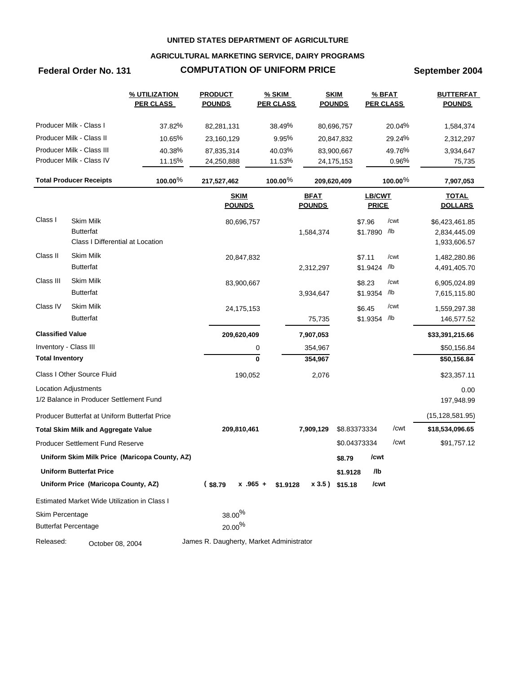### **AGRICULTURAL MARKETING SERVICE, DAIRY PROGRAMS**

# **Federal Order No. 131 COMPUTATION OF UNIFORM PRICE September 2004**

|                         |                                                                          | % UTILIZATION<br><b>PER CLASS</b>             | <b>PRODUCT</b><br><b>POUNDS</b>          | $%$ SKIM<br><b>PER CLASS</b> |                              | <b>SKIM</b><br><b>POUNDS</b> |                               | % BFAT<br><b>PER CLASS</b> | <b>BUTTERFAT</b><br><b>POUNDS</b>              |
|-------------------------|--------------------------------------------------------------------------|-----------------------------------------------|------------------------------------------|------------------------------|------------------------------|------------------------------|-------------------------------|----------------------------|------------------------------------------------|
|                         | Producer Milk - Class I                                                  | 37.82%                                        | 82,281,131                               | 38.49%                       |                              | 80,696,757                   |                               | 20.04%                     | 1,584,374                                      |
|                         | Producer Milk - Class II                                                 | 10.65%                                        | 23,160,129                               | 9.95%                        |                              | 20,847,832                   |                               | 29.24%                     | 2,312,297                                      |
|                         | Producer Milk - Class III                                                | 40.38%                                        | 87,835,314                               | 40.03%                       |                              | 83,900,667                   |                               | 49.76%                     | 3,934,647                                      |
|                         | Producer Milk - Class IV                                                 | 11.15%                                        | 24,250,888                               | 11.53%                       |                              | 24,175,153                   |                               | 0.96%                      | 75,735                                         |
|                         | <b>Total Producer Receipts</b>                                           | 100.00%                                       | 217,527,462                              | 100.00%                      |                              | 209,620,409                  |                               | $100.00\%$                 | 7,907,053                                      |
|                         |                                                                          |                                               | <b>SKIM</b><br><b>POUNDS</b>             |                              | <b>BFAT</b><br><b>POUNDS</b> |                              | <b>LB/CWT</b><br><b>PRICE</b> |                            | <b>TOTAL</b><br><b>DOLLARS</b>                 |
| Class I                 | <b>Skim Milk</b><br><b>Butterfat</b><br>Class I Differential at Location |                                               | 80,696,757                               |                              | 1,584,374                    |                              | \$7.96<br>\$1.7890 /b         | /cwt                       | \$6,423,461.85<br>2,834,445.09<br>1,933,606.57 |
| Class II                | <b>Skim Milk</b><br><b>Butterfat</b>                                     |                                               | 20,847,832                               |                              | 2,312,297                    |                              | \$7.11<br>\$1.9424            | /cwt<br>/lb                | 1,482,280.86<br>4,491,405.70                   |
| Class III               | Skim Milk<br><b>Butterfat</b>                                            |                                               | 83,900,667                               |                              | 3,934,647                    |                              | \$8.23<br>\$1.9354            | /cwt<br>/lb                | 6,905,024.89<br>7,615,115.80                   |
| Class IV                | <b>Skim Milk</b><br><b>Butterfat</b>                                     |                                               | 24,175,153                               |                              | 75,735                       |                              | \$6.45<br>\$1.9354            | /cwt<br>/lb                | 1,559,297.38<br>146,577.52                     |
| <b>Classified Value</b> |                                                                          |                                               | 209,620,409                              |                              | 7,907,053                    |                              |                               |                            | \$33,391,215.66                                |
| Inventory - Class III   |                                                                          |                                               |                                          | 0                            | 354,967                      |                              |                               |                            | \$50,156.84                                    |
| <b>Total Inventory</b>  |                                                                          |                                               |                                          | 0                            | 354,967                      |                              |                               |                            | \$50,156.84                                    |
|                         | Class I Other Source Fluid                                               |                                               | 190,052                                  |                              | 2,076                        |                              |                               |                            | \$23,357.11                                    |
|                         | <b>Location Adjustments</b>                                              |                                               |                                          |                              |                              |                              |                               |                            | 0.00                                           |
|                         | 1/2 Balance in Producer Settlement Fund                                  |                                               |                                          |                              |                              |                              |                               |                            | 197,948.99                                     |
|                         | Producer Butterfat at Uniform Butterfat Price                            |                                               |                                          |                              |                              |                              |                               |                            | (15, 128, 581.95)                              |
|                         | <b>Total Skim Milk and Aggregate Value</b>                               |                                               | 209,810,461                              |                              | 7,909,129                    |                              | \$8.83373334                  | /cwt                       | \$18,534,096.65                                |
|                         | Producer Settlement Fund Reserve                                         |                                               |                                          |                              |                              |                              | \$0.04373334                  | /cwt                       | \$91,757.12                                    |
|                         |                                                                          | Uniform Skim Milk Price (Maricopa County, AZ) |                                          |                              |                              | \$8.79                       | /cwt                          |                            |                                                |
|                         | <b>Uniform Butterfat Price</b>                                           |                                               |                                          |                              |                              | \$1.9128                     | /lb                           |                            |                                                |
|                         | Uniform Price (Maricopa County, AZ)                                      |                                               | (s8.79)<br>$x - 965 +$                   | \$1.9128                     |                              | $x 3.5$ ) \$15.18            | /cwt                          |                            |                                                |
|                         | Estimated Market Wide Utilization in Class I                             |                                               |                                          |                              |                              |                              |                               |                            |                                                |
| Skim Percentage         |                                                                          |                                               | $38.00\%$                                |                              |                              |                              |                               |                            |                                                |
|                         | <b>Butterfat Percentage</b>                                              |                                               | $20.00\%$                                |                              |                              |                              |                               |                            |                                                |
| Released:               | October 08, 2004                                                         |                                               | James R. Daugherty, Market Administrator |                              |                              |                              |                               |                            |                                                |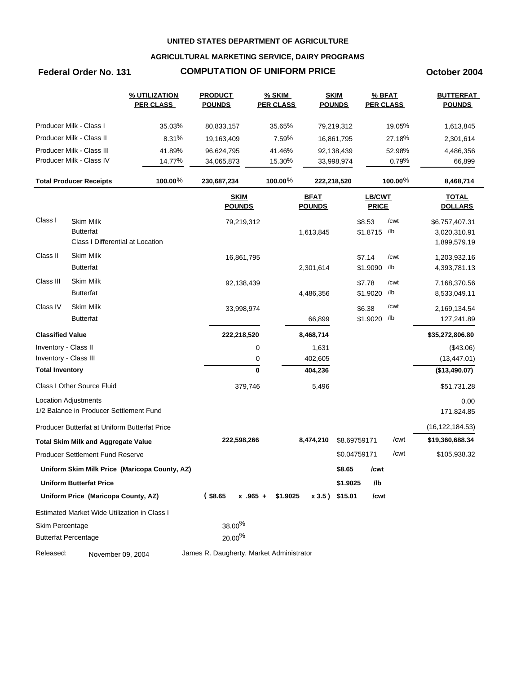### **AGRICULTURAL MARKETING SERVICE, DAIRY PROGRAMS**

# **Federal Order No. 131 COMPUTATION OF UNIFORM PRICE October 2004**

|                         |                                               | % UTILIZATION<br><b>PER CLASS</b>             | <b>PRODUCT</b><br><b>POUNDS</b>          | % SKIM<br><b>PER CLASS</b> |                              | <b>SKIM</b><br><b>POUNDS</b> |                        | % BFAT<br><b>PER CLASS</b> | <b>BUTTERFAT</b><br><b>POUNDS</b> |
|-------------------------|-----------------------------------------------|-----------------------------------------------|------------------------------------------|----------------------------|------------------------------|------------------------------|------------------------|----------------------------|-----------------------------------|
|                         | Producer Milk - Class I                       | 35.03%                                        | 80,833,157                               | 35.65%                     |                              | 79,219,312                   |                        | 19.05%                     | 1,613,845                         |
|                         | Producer Milk - Class II                      | 8.31%                                         | 19,163,409                               | 7.59%                      |                              | 16,861,795                   |                        | 27.18%                     | 2,301,614                         |
|                         | Producer Milk - Class III                     | 41.89%                                        | 96,624,795                               | 41.46%                     |                              | 92,138,439                   |                        | 52.98%                     | 4,486,356                         |
|                         | Producer Milk - Class IV                      | 14.77%                                        | 34,065,873                               | 15.30%                     |                              | 33,998,974                   |                        | 0.79%                      | 66,899                            |
|                         | <b>Total Producer Receipts</b>                | 100.00%                                       | 230,687,234                              | $100.00\%$                 |                              | 222,218,520                  |                        | $100.00\%$                 | 8,468,714                         |
|                         |                                               |                                               | <b>SKIM</b><br><b>POUNDS</b>             |                            | <b>BFAT</b><br><b>POUNDS</b> |                              | LB/CWT<br><b>PRICE</b> |                            | <b>TOTAL</b><br><b>DOLLARS</b>    |
| Class I                 | <b>Skim Milk</b>                              |                                               | 79,219,312                               |                            |                              |                              | \$8.53                 | /cwt                       | \$6,757,407.31                    |
|                         | <b>Butterfat</b>                              |                                               |                                          |                            | 1,613,845                    |                              | \$1.8715 /lb           |                            | 3,020,310.91                      |
|                         | Class I Differential at Location              |                                               |                                          |                            |                              |                              |                        |                            | 1,899,579.19                      |
| Class II                | <b>Skim Milk</b>                              |                                               | 16,861,795                               |                            |                              |                              | \$7.14                 | /cwt                       | 1,203,932.16                      |
|                         | <b>Butterfat</b>                              |                                               |                                          |                            | 2,301,614                    |                              | \$1.9090 /b            |                            | 4,393,781.13                      |
| Class III               | <b>Skim Milk</b>                              |                                               | 92,138,439                               |                            |                              |                              | \$7.78                 | /cwt                       | 7,168,370.56                      |
|                         | <b>Butterfat</b>                              |                                               |                                          |                            | 4,486,356                    |                              | \$1.9020 /lb           |                            | 8,533,049.11                      |
| Class IV                | <b>Skim Milk</b>                              |                                               | 33,998,974                               |                            |                              |                              | \$6.38                 | /cwt                       | 2,169,134.54                      |
|                         | <b>Butterfat</b>                              |                                               |                                          |                            | 66,899                       |                              | \$1.9020 /lb           |                            | 127,241.89                        |
| <b>Classified Value</b> |                                               |                                               | 222,218,520                              |                            | 8,468,714                    |                              |                        |                            | \$35,272,806.80                   |
| Inventory - Class II    |                                               |                                               |                                          | 0                          | 1,631                        |                              |                        |                            | (\$43.06)                         |
| Inventory - Class III   |                                               |                                               |                                          | 0                          | 402,605                      |                              |                        |                            | (13, 447.01)                      |
| <b>Total Inventory</b>  |                                               |                                               |                                          | $\mathbf 0$                | 404,236                      |                              |                        |                            | (\$13,490.07)                     |
|                         | Class I Other Source Fluid                    |                                               | 379,746                                  |                            | 5,496                        |                              |                        |                            | \$51,731.28                       |
|                         | Location Adjustments                          |                                               |                                          |                            |                              |                              |                        |                            | 0.00                              |
|                         | 1/2 Balance in Producer Settlement Fund       |                                               |                                          |                            |                              |                              |                        |                            | 171,824.85                        |
|                         | Producer Butterfat at Uniform Butterfat Price |                                               |                                          |                            |                              |                              |                        |                            | (16, 122, 184.53)                 |
|                         | <b>Total Skim Milk and Aggregate Value</b>    |                                               | 222,598,266                              |                            | 8,474,210                    | \$8.69759171                 |                        | /cwt                       | \$19,360,688.34                   |
|                         | <b>Producer Settlement Fund Reserve</b>       |                                               |                                          |                            |                              | \$0.04759171                 |                        | /cwt                       | \$105,938.32                      |
|                         |                                               | Uniform Skim Milk Price (Maricopa County, AZ) |                                          |                            |                              | \$8.65                       | /cwt                   |                            |                                   |
|                         | <b>Uniform Butterfat Price</b>                |                                               |                                          |                            |                              | \$1.9025                     | /lb                    |                            |                                   |
|                         | Uniform Price (Maricopa County, AZ)           |                                               | $($ \$8.65<br>$x$ .965 +                 | \$1.9025                   |                              | x 3.5) \$15.01               | /cwt                   |                            |                                   |
|                         | Estimated Market Wide Utilization in Class I  |                                               |                                          |                            |                              |                              |                        |                            |                                   |
| Skim Percentage         |                                               |                                               | $38.00\%$                                |                            |                              |                              |                        |                            |                                   |
|                         | <b>Butterfat Percentage</b>                   |                                               | $20.00\%$                                |                            |                              |                              |                        |                            |                                   |
| Released:               | November 09, 2004                             |                                               | James R. Daugherty, Market Administrator |                            |                              |                              |                        |                            |                                   |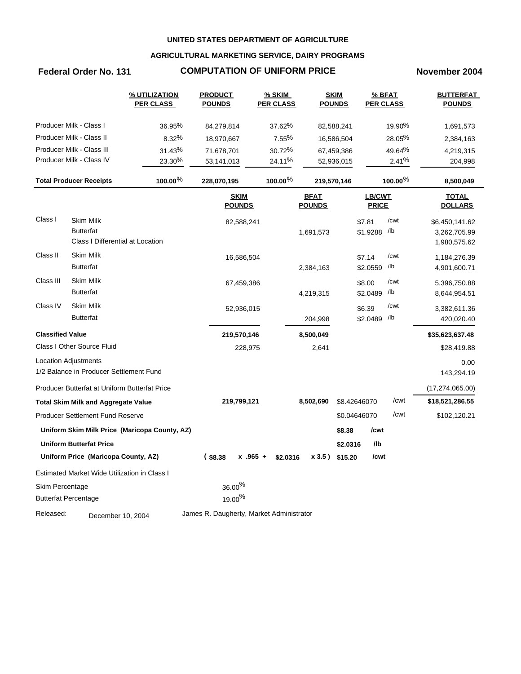### **AGRICULTURAL MARKETING SERVICE, DAIRY PROGRAMS**

### **Federal Order No. 131 COMPUTATION OF UNIFORM PRICE November 2004**

|                         |                                               | % UTILIZATION<br><b>PER CLASS</b>             | <b>PRODUCT</b><br><b>POUNDS</b>          | $%$ SKIM<br><b>PER CLASS</b> |                              | <b>SKIM</b><br><b>POUNDS</b> |                        | $%$ BFAT<br><b>PER CLASS</b> | <b>BUTTERFAT</b><br><b>POUNDS</b> |
|-------------------------|-----------------------------------------------|-----------------------------------------------|------------------------------------------|------------------------------|------------------------------|------------------------------|------------------------|------------------------------|-----------------------------------|
|                         | Producer Milk - Class I                       | 36.95%                                        | 84,279,814                               | 37.62%                       |                              | 82,588,241                   |                        | 19.90%                       | 1,691,573                         |
|                         | Producer Milk - Class II                      | 8.32%                                         | 18,970,667                               | 7.55%                        |                              | 16,586,504                   |                        | 28.05%                       | 2,384,163                         |
|                         | Producer Milk - Class III                     | 31.43%                                        | 71,678,701                               | 30.72%                       |                              | 67,459,386                   |                        | 49.64%                       | 4,219,315                         |
|                         | Producer Milk - Class IV                      | 23.30%                                        | 53,141,013                               | 24.11%                       |                              | 52,936,015                   |                        | 2.41%                        | 204,998                           |
|                         | <b>Total Producer Receipts</b>                | 100.00%                                       | 228,070,195                              | $100.00\%$                   |                              | 219,570,146                  |                        | 100.00 <sup>%</sup>          | 8,500,049                         |
|                         |                                               |                                               | <b>SKIM</b><br><b>POUNDS</b>             |                              | <b>BFAT</b><br><b>POUNDS</b> |                              | LB/CWT<br><b>PRICE</b> |                              | <b>TOTAL</b><br><b>DOLLARS</b>    |
| Class I                 | Skim Milk                                     |                                               | 82,588,241                               |                              |                              |                              | \$7.81                 | /cwt                         | \$6,450,141.62                    |
|                         | <b>Butterfat</b>                              |                                               |                                          |                              | 1,691,573                    |                              | \$1.9288               | /lb                          | 3,262,705.99                      |
|                         | Class I Differential at Location              |                                               |                                          |                              |                              |                              |                        |                              | 1,980,575.62                      |
| Class II                | Skim Milk                                     |                                               | 16,586,504                               |                              |                              |                              | \$7.14                 | /cwt                         | 1,184,276.39                      |
|                         | <b>Butterfat</b>                              |                                               |                                          |                              | 2,384,163                    |                              | \$2.0559               | /lb                          | 4,901,600.71                      |
| Class III               | Skim Milk                                     |                                               | 67,459,386                               |                              |                              |                              | \$8.00                 | /cwt                         | 5,396,750.88                      |
|                         | <b>Butterfat</b>                              |                                               |                                          |                              | 4,219,315                    |                              | \$2.0489               | /lb                          | 8,644,954.51                      |
| Class IV                | <b>Skim Milk</b>                              |                                               | 52,936,015                               |                              |                              |                              | \$6.39                 | /cwt                         | 3,382,611.36                      |
|                         | <b>Butterfat</b>                              |                                               |                                          |                              | 204,998                      |                              | \$2.0489               | /lb                          | 420,020.40                        |
| <b>Classified Value</b> |                                               |                                               | 219,570,146                              |                              | 8,500,049                    |                              |                        |                              | \$35,623,637.48                   |
|                         | Class I Other Source Fluid                    |                                               | 228,975                                  |                              | 2,641                        |                              |                        |                              | \$28,419.88                       |
|                         | <b>Location Adjustments</b>                   |                                               |                                          |                              |                              |                              |                        |                              | 0.00                              |
|                         | 1/2 Balance in Producer Settlement Fund       |                                               |                                          |                              |                              |                              |                        |                              | 143,294.19                        |
|                         | Producer Butterfat at Uniform Butterfat Price |                                               |                                          |                              |                              |                              |                        |                              | (17, 274, 065.00)                 |
|                         | <b>Total Skim Milk and Aggregate Value</b>    |                                               | 219,799,121                              |                              | 8,502,690                    |                              | \$8.42646070           | /cwt                         | \$18,521,286.55                   |
|                         | <b>Producer Settlement Fund Reserve</b>       |                                               |                                          |                              |                              |                              | \$0.04646070           | /cwt                         | \$102,120.21                      |
|                         |                                               | Uniform Skim Milk Price (Maricopa County, AZ) |                                          |                              |                              | \$8.38                       | /cwt                   |                              |                                   |
|                         | <b>Uniform Butterfat Price</b>                |                                               |                                          |                              |                              | \$2.0316                     | /lb                    |                              |                                   |
|                         | Uniform Price (Maricopa County, AZ)           |                                               | (s3.38)<br>$x.965 +$                     | \$2.0316                     |                              | x 3.5) \$15.20               | /cwt                   |                              |                                   |
|                         | Estimated Market Wide Utilization in Class I  |                                               |                                          |                              |                              |                              |                        |                              |                                   |
| Skim Percentage         |                                               |                                               | $36.00\%$                                |                              |                              |                              |                        |                              |                                   |
|                         | <b>Butterfat Percentage</b>                   |                                               | $19.00\%$                                |                              |                              |                              |                        |                              |                                   |
| Released:               | December 10, 2004                             |                                               | James R. Daugherty, Market Administrator |                              |                              |                              |                        |                              |                                   |